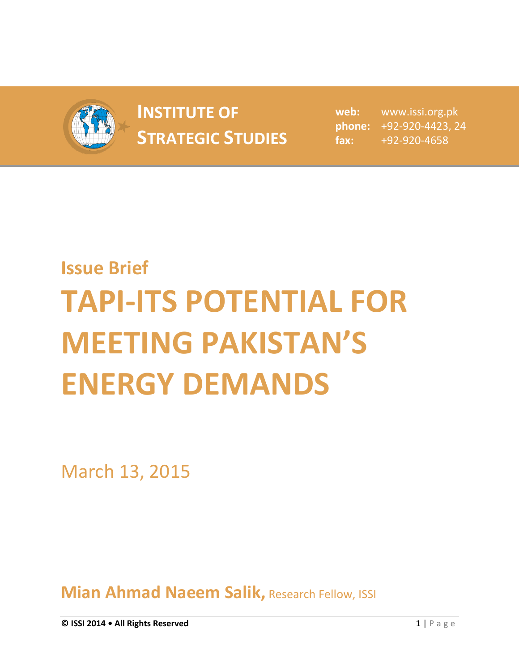

## **INSTITUTE OF INSTITUTE OF** web:<br> **STRATEGIC STUDIES**  $_{\text{fax:}}$

**web:** www.issi.org.pk **phone:** +92-920-4423, 24 **fax:** +92-920-4658

## **Issue Brief TAPI-ITS POTENTIAL FOR MEETING PAKISTAN'S ENERGY DEMANDS**

March 13, 2015

**Mian Ahmad Naeem Salik, Research Fellow, ISSI**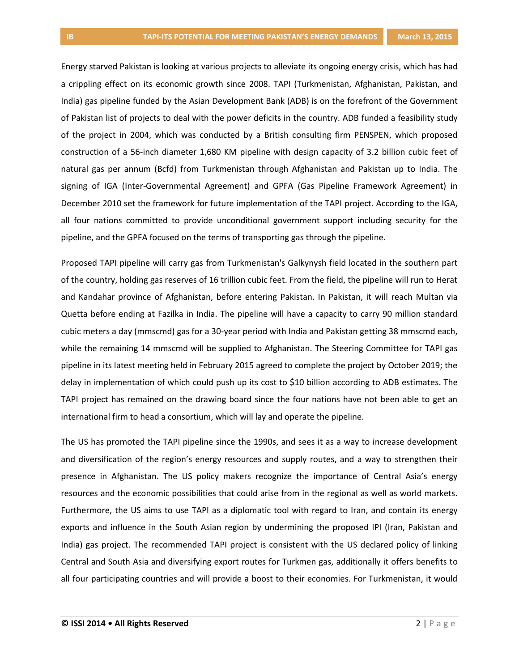Energy starved Pakistan is looking at various projects to alleviate its ongoing energy crisis, which has had a crippling effect on its economic growth since 2008. TAPI (Turkmenistan, Afghanistan, Pakistan, and India) gas pipeline funded by the Asian Development Bank (ADB) is on the forefront of the Government of Pakistan list of projects to deal with the power deficits in the country. ADB funded a feasibility study of the project in 2004, which was conducted by a British consulting firm PENSPEN, which proposed construction of a 56-inch diameter 1,680 KM pipeline with design capacity of 3.2 billion cubic feet of natural gas per annum (Bcfd) from Turkmenistan through Afghanistan and Pakistan up to India. The signing of IGA (Inter-Governmental Agreement) and GPFA (Gas Pipeline Framework Agreement) in December 2010 set the framework for future implementation of the TAPI project. According to the IGA, all four nations committed to provide unconditional government support including security for the pipeline, and the GPFA focused on the terms of transporting gas through the pipeline.

Proposed TAPI pipeline will carry gas from Turkmenistan's Galkynysh field located in the southern part of the country, holding gas reserves of 16 trillion cubic feet. From the field, the pipeline will run to Herat and Kandahar province of Afghanistan, before entering Pakistan. In Pakistan, it will reach Multan via Quetta before ending at Fazilka in India. The pipeline will have a capacity to carry 90 million standard cubic meters a day (mmscmd) gas for a 30-year period with India and Pakistan getting 38 mmscmd each, while the remaining 14 mmscmd will be supplied to Afghanistan. The Steering Committee for TAPI gas pipeline in its latest meeting held in February 2015 agreed to complete the project by October 2019; the delay in implementation of which could push up its cost to \$10 billion according to ADB estimates. The TAPI project has remained on the drawing board since the four nations have not been able to get an international firm to head a consortium, which will lay and operate the pipeline.

The US has promoted the TAPI pipeline since the 1990s, and sees it as a way to increase development and diversification of the region's energy resources and supply routes, and a way to strengthen their presence in Afghanistan. The US policy makers recognize the importance of Central Asia's energy resources and the economic possibilities that could arise from in the regional as well as world markets. Furthermore, the US aims to use TAPI as a diplomatic tool with regard to Iran, and contain its energy exports and influence in the South Asian region by undermining the proposed IPI (Iran, Pakistan and India) gas project. The recommended TAPI project is consistent with the US declared policy of linking Central and South Asia and diversifying export routes for Turkmen gas, additionally it offers benefits to all four participating countries and will provide a boost to their economies. For Turkmenistan, it would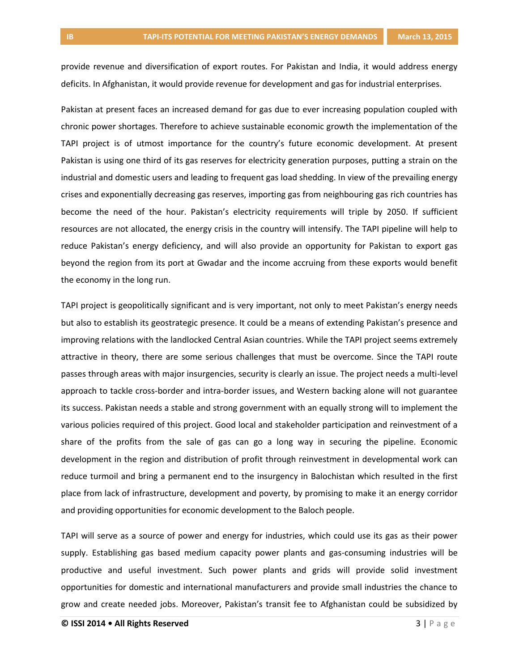provide revenue and diversification of export routes. For Pakistan and India, it would address energy deficits. In Afghanistan, it would provide revenue for development and gas for industrial enterprises.

Pakistan at present faces an increased demand for gas due to ever increasing population coupled with chronic power shortages. Therefore to achieve sustainable economic growth the implementation of the TAPI project is of utmost importance for the country's future economic development. At present Pakistan is using one third of its gas reserves for electricity generation purposes, putting a strain on the industrial and domestic users and leading to frequent gas load shedding. In view of the prevailing energy crises and exponentially decreasing gas reserves, importing gas from neighbouring gas rich countries has become the need of the hour. Pakistan's electricity requirements will triple by 2050. If sufficient resources are not allocated, the energy crisis in the country will intensify. The TAPI pipeline will help to reduce Pakistan's energy deficiency, and will also provide an opportunity for Pakistan to export gas beyond the region from its port at Gwadar and the income accruing from these exports would benefit the economy in the long run.

TAPI project is geopolitically significant and is very important, not only to meet Pakistan's energy needs but also to establish its geostrategic presence. It could be a means of extending Pakistan's presence and improving relations with the landlocked Central Asian countries. While the TAPI project seems extremely attractive in theory, there are some serious challenges that must be overcome. Since the TAPI route passes through areas with major insurgencies, security is clearly an issue. The project needs a multi-level approach to tackle cross-border and intra-border issues, and Western backing alone will not guarantee its success. Pakistan needs a stable and strong government with an equally strong will to implement the various policies required of this project. Good local and stakeholder participation and reinvestment of a share of the profits from the sale of gas can go a long way in securing the pipeline. Economic development in the region and distribution of profit through reinvestment in developmental work can reduce turmoil and bring a permanent end to the insurgency in Balochistan which resulted in the first place from lack of infrastructure, development and poverty, by promising to make it an energy corridor and providing opportunities for economic development to the Baloch people.

TAPI will serve as a source of power and energy for industries, which could use its gas as their power supply. Establishing gas based medium capacity power plants and gas-consuming industries will be productive and useful investment. Such power plants and grids will provide solid investment opportunities for domestic and international manufacturers and provide small industries the chance to grow and create needed jobs. Moreover, Pakistan's transit fee to Afghanistan could be subsidized by